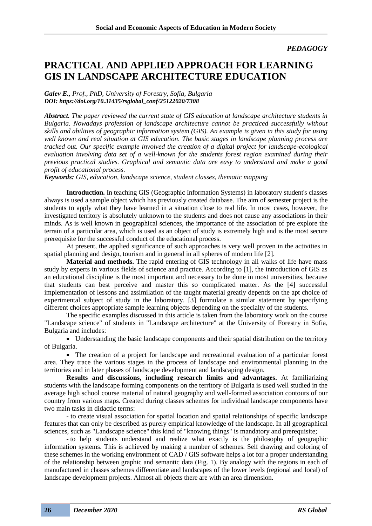*PEDAGOGY*

## **PRACTICAL AND APPLIED APPROACH FOR LEARNING GIS IN LANDSCAPE ARCHITECTURE EDUCATION**

*Galev E., Prof., PhD, University of Forestry, Sofia, Bulgaria DOI: https://doi.org/10.31435/rsglobal\_conf/25122020/7308*

*Abstract. The paper reviewed the current state of GIS education at landscape architecture students in Bulgaria. Nowadays profession of landscape architecture cannot be practiced successfully without skills and abilities of geographic information system (GIS). An example is given in this study for using well known and real situation at GIS education. The basic stages in landscape planning process are tracked out. Our specific example involved the creation of a digital project for landscape-ecological evaluation involving data set of a well-known for the students forest region examined during their previous practical studies. Graphical and semantic data are easy to understand and make a good profit of educational process.* 

*Keywords: GIS, education, landscape science, student classes, thematic mapping*

**Introduction.** In teaching GIS (Geographic Information Systems) in laboratory student's classes always is used a sample object which has previously created database. The aim of semester project is the students to apply what they have learned in a situation close to real life. In most cases, however, the investigated territory is absolutely unknown to the students and does not cause any associations in their minds. As is well known in geographical sciences, the importance of the association of pre explore the terrain of a particular area, which is used as an object of study is extremely high and is the most secure prerequisite for the successful conduct of the educational process.

At present, the applied significance of such approaches is very well proven in the activities in spatial planning and design, tourism and in general in all spheres of modern life [2].

**Material and methods.** The rapid entering of GIS technology in all walks of life have mass study by experts in various fields of science and practice. According to [1], the introduction of GIS as an educational discipline is the most important and necessary to be done in most universities, because that students can best perceive and master this so complicated matter. As the [4] successful implementation of lessons and assimilation of the taught material greatly depends on the apt choice of experimental subject of study in the laboratory. [3] formulate a similar statement by specifying different choices appropriate sample learning objects depending on the specialty of the students.

The specific examples discussed in this article is taken from the laboratory work on the course "Landscape science" of students in "Landscape architecture" at the University of Forestry in Sofia, Bulgaria and includes:

• Understanding the basic landscape components and their spatial distribution on the territory of Bulgaria.

• The creation of a project for landscape and recreational evaluation of a particular forest area. They trace the various stages in the process of landscape and environmental planning in the territories and in later phases of landscape development and landscaping design.

**Results and discussions, including research limits and advantages.** At familiarizing students with the landscape forming components on the territory of Bulgaria is used well studied in the average high school course material of natural geography and well-formed association contours of our country from various maps. Created during classes schemes for individual landscape components have two main tasks in didactic terms:

- to create visual association for spatial location and spatial relationships of specific landscape features that can only be described as purely empirical knowledge of the landscape. In all geographical sciences, such as "Landscape science" this kind of "knowing things" is mandatory and prerequisite;

- to help students understand and realize what exactly is the philosophy of geographic information systems. This is achieved by making a number of schemes. Self drawing and coloring of these schemes in the working environment of CAD / GIS software helps a lot for a proper understanding of the relationship between graphic and semantic data (Fig. 1). By analogy with the regions in each of manufactured in classes schemes differentiate and landscapes of the lower levels (regional and local) of landscape development projects. Almost all objects there are with an area dimension.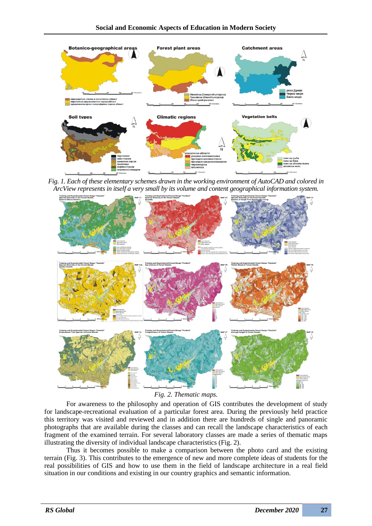

*Fig. 1. Each of these elementary schemes drawn in the working environment of AutoCAD and colored in ArcView represents in itself a very small by its volume and content geographical information system.*



*Fig. 2. Thematic maps.*

For awareness to the philosophy and operation of GIS contributes the development of study for landscape-recreational evaluation of a particular forest area. During the previously held practice this territory was visited and reviewed and in addition there are hundreds of single and panoramic photographs that are available during the classes and can recall the landscape characteristics of each fragment of the examined terrain. For several laboratory classes are made a series of thematic maps illustrating the diversity of individual landscape characteristics (Fig. 2).

Thus it becomes possible to make a comparison between the photo card and the existing terrain (Fig. 3). This contributes to the emergence of new and more complete ideas of students for the real possibilities of GIS and how to use them in the field of landscape architecture in a real field situation in our conditions and existing in our country graphics and semantic information.